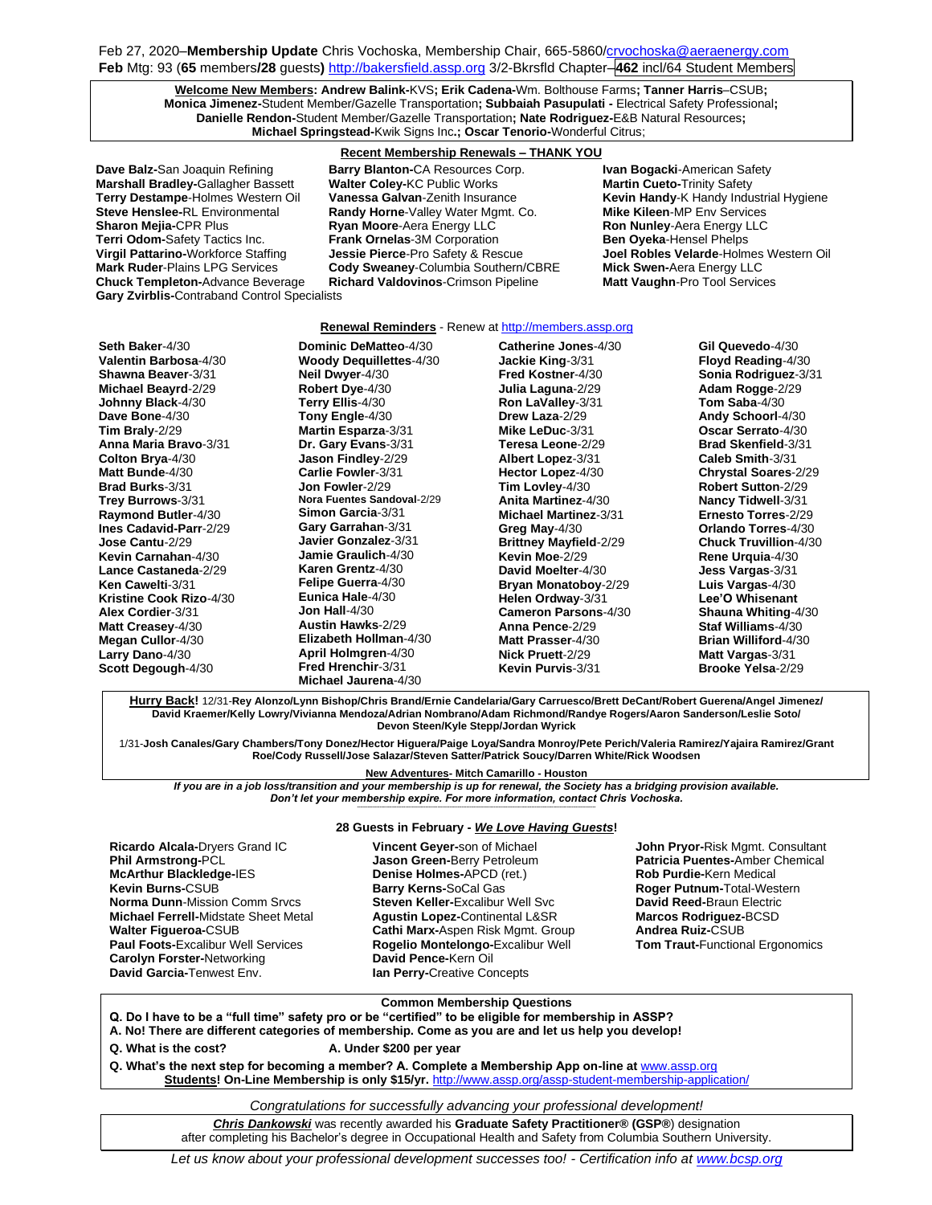Feb 27, 2020–**Membership Update** Chris Vochoska, Membership Chair, 665-586[0/crvochoska@aeraenergy.com](mailto:crvochoska@aeraenergy.com) **Feb** Mtg: 93 (**65** members**/28** guests**)** [http://bakersfield.assp.org](http://bakersfield.assp.org/) 3/2-Bkrsfld Chapter–**462** incl/64 Student Members

**Welcome New Members: Andrew Balink-**KVS**; Erik Cadena-**Wm. Bolthouse Farms**; Tanner Harris**–CSUB**; Monica Jimenez-**Student Member/Gazelle Transportation**; Subbaiah Pasupulati -** Electrical Safety Professional**; Danielle Rendon-**Student Member/Gazelle Transportation**; Nate Rodriguez-**E&B Natural Resources**; Michael Springstead-**Kwik Signs Inc**.; Oscar Tenorio-**Wonderful Citrus;

**Dave Balz-**San Joaquin Refining **Barry Blanton-**CA Resources Corp. **Ivan Bogacki**-American Safety **Gary Zvirblis-**Contraband Control Specialists

### **Recent Membership Renewals – THANK YOU**

**Marshall Bradley-**Gallagher Bassett **Walter Coley-**KC Public Works **Martin Cueto-**Trinity Safety<br>**Terry Destampe-**Holmes Western Oil **Vanessa Galvan-**Zenith Insurance **Merry Destampe-** Handy Indu **Steve Henslee-RL Environmental <b>Randy Horne**-Valley Water Mgmt. Co. **Mike Kileen-MP Env Services**<br>**Sharon Mejia-CPR Plus <b>Ryan Moore-A**era Energy LLC **Ron Nunley-**Aera Energy LLC **Ryan Moore-Aera Energy LLC Ron Nunley-Aera Energy LLC Terri Odom-**Safety Tactics Inc. **Frank Ornelas**-3M Corporation **Ben Oyeka-Hensel Phelps Cody Sweaney-Columbia Southern/CBRE Chuck Templeton-Advance Beverage Richard Valdovinos-Crimson Pipeline Matt Vaughn-Pro Tool Services** 

**Kevin Handy-K Handy Industrial Hygiene Virgil Pattarino-**Workforce Staffing **Jessie Pierce**-Pro Safety & Rescue **Joel Robles Velarde**-Holmes Western Oil

### **Renewal Reminders** - Renew a[t http://members.assp.org](http://members.assp.org/)

**Seth Baker**-4/30 **Valentin Barbosa**-4/30 **Shawna Beaver**-3/31 **Michael Beayrd**-2/29 **Johnny Black**-4/30 **Dave Bone**-4/30 **Tim Braly**-2/29 **Anna Maria Bravo**-3/31 **Colton Brya**-4/30 **Matt Bunde**-4/30 **Brad Burks**-3/31 **Trey Burrows**-3/31 **Raymond Butler**-4/30 **Ines Cadavid-Parr**-2/29 **Jose Cantu**-2/29 **Kevin Carnahan**-4/30 **Lance Castaneda**-2/29 **Ken Cawelti**-3/31 **Kristine Cook Rizo**-4/30 **Alex Cordier**-3/31 **Matt Creasey**-4/30 **Megan Cullor**-4/30 **Larry Dano**-4/30 **Scott Degough**-4/30

**Dominic DeMatteo**-4/30 **Woody Dequillettes**-4/30 **Neil Dwyer**-4/30 **Robert Dye**-4/30 **Terry Ellis**-4/30 **Tony Engle**-4/30 **Martin Esparza**-3/31 **Dr. Gary Evans**-3/31 **Jason Findley**-2/29 **Carlie Fowler**-3/31 **Jon Fowler**-2/29 **Nora Fuentes Sandoval**-2/29 **Simon Garcia**-3/31 **Gary Garrahan**-3/31 **Javier Gonzalez**-3/31 **Jamie Graulich**-4/30 **Karen Grentz**-4/30 **Felipe Guerra**-4/30 **Eunica Hale**-4/30 **Jon Hall**-4/30 **Austin Hawks**-2/29 **Elizabeth Hollman**-4/30 **April Holmgren**-4/30 **Fred Hrenchir**-3/31 **Michael Jaurena**-4/30

**Catherine Jones**-4/30 **Jackie King**-3/31 **Fred Kostner**-4/30 **Julia Laguna**-2/29 **Ron LaValley**-3/31 **Drew Laza**-2/29 **Mike LeDuc**-3/31 **Teresa Leone**-2/29 **Albert Lopez**-3/31 **Hector Lopez**-4/30 **Tim Lovley**-4/30 **Anita Martinez**-4/30 **Michael Martinez**-3/31 **Greg May**-4/30 **Brittney Mayfield**-2/29 **Kevin Moe**-2/29 **David Moelter**-4/30 **Bryan Monatoboy**-2/29 **Helen Ordway**-3/31 **Cameron Parsons**-4/30 **Anna Pence**-2/29 **Matt Prasser**-4/30 **Nick Pruett**-2/29 **Kevin Purvis**-3/31

**Gil Quevedo**-4/30 **Floyd Reading**-4/30 **Sonia Rodriguez**-3/31 **Adam Rogge**-2/29 **Tom Saba**-4/30 **Andy Schoorl**-4/30 **Oscar Serrato**-4/30 **Brad Skenfield**-3/31 **Caleb Smith**-3/31 **Chrystal Soares**-2/29 **Robert Sutton**-2/29 **Nancy Tidwell**-3/31 **Ernesto Torres**-2/29 **Orlando Torres**-4/30 **Chuck Truvillion**-4/30 **Rene Urquia**-4/30 **Jess Vargas**-3/31 **Luis Vargas**-4/30 **Lee'O Whisenant Shauna Whiting**-4/30 **Staf Williams**-4/30 **Brian Williford**-4/30 **Matt Vargas**-3/31 **Brooke Yelsa**-2/29

**Hurry Back!** 12/31-**Rey Alonzo/Lynn Bishop/Chris Brand/Ernie Candelaria/Gary Carruesco/Brett DeCant/Robert Guerena/Angel Jimenez/ David Kraemer/Kelly Lowry/Vivianna Mendoza/Adrian Nombrano/Adam Richmond/Randye Rogers/Aaron Sanderson/Leslie Soto/ Devon Steen/Kyle Stepp/Jordan Wyrick**

1/31-**Josh Canales/Gary Chambers/Tony Donez/Hector Higuera/Paige Loya/Sandra Monroy/Pete Perich/Valeria Ramirez/Yajaira Ramirez/Grant Roe/Cody Russell/Jose Salazar/Steven Satter/Patrick Soucy/Darren White/Rick Woodsen**

**New Adventures- Mitch Camarillo - Houston**

*If you are in a job loss/transition and your membership is up for renewal, the Society has a bridging provision available. Don't let your membership expire. For more information, contact Chris Vochoska.*  **-------------------------------------------------------------------------------------------------------------------------------------------------------------**

#### **28 Guests in February -** *We Love Having Guests***!**

**Ricardo Alcala-**Dryers Grand IC **Phil Armstrong-**PCL **McArthur Blackledge-**IES **Kevin Burns-**CSUB **Norma Dunn**-Mission Comm Srvcs **Michael Ferrell-**Midstate Sheet Metal **Walter Figueroa-**CSUB **Paul Foots-**Excalibur Well Services **Carolyn Forster-**Networking **David Garcia-**Tenwest Env.

**Vincent Geyer-**son of Michael **Jason Green-**Berry Petroleum **Denise Holmes-**APCD (ret.) **Barry Kerns-**SoCal Gas **Steven Keller-**Excalibur Well Svc **Agustin Lopez-**Continental L&SR **Cathi Marx-**Aspen Risk Mgmt. Group **Rogelio Montelongo-**Excalibur Well **David Pence-**Kern Oil **Ian Perry-**Creative Concepts

**John Pryor-**Risk Mgmt. Consultant **Patricia Puentes-**Amber Chemical **Rob Purdie-**Kern Medical **Roger Putnum-**Total-Western **David Reed-**Braun Electric **Marcos Rodriguez-**BCSD **Andrea Ruiz-**CSUB **Tom Traut-**Functional Ergonomics

### **Common Membership Questions**

**Q. Do I have to be a "full time" safety pro or be "certified" to be eligible for membership in ASSP?** 

- **A. No! There are different categories of membership. Come as you are and let us help you develop!**
- 
- **Q. What is the cost? A. Under \$200 per year**
- Q. What's the next step for becoming a member? A. Complete a Membership App on-line at **[www.assp.org](http://www.assp.org/) Students! On-Line Membership is only \$15/yr.** <http://www.assp.org/assp-student-membership-application/>

## *Congratulations for successfully advancing your professional development!*

*Chris Dankowski* was recently awarded his **Graduate Safety Practitioner® (GSP®**) designation after completing his Bachelor's degree in Occupational Health and Safety from Columbia Southern University.